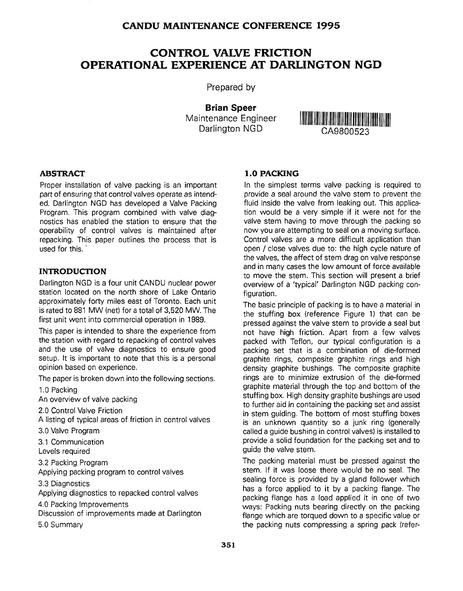# CONTROL VALVE FRICTION OPERATIONAL EXPERIENCE AT DARLINGTON NGD

Prepared by

Brian Speer Maintenance Engineer



#### **ABSTRACT**

Proper installation of valve packing is an important part of ensuring that control valves operate as intended. Darlington NGD has developed a Valve Packing Program. This program combined with valve diagnostics has enabled the station to ensure that the operability of control valves is maintained after repacking. This paper outlines the process that is used for this.

#### **INTRODUCTION**

Darlington NGD is a four unit CANDU nuclear power station located on the north shore of Lake Ontario approximately forty miles east of Toronto. Each unit is rated to 881 MW (net) for a total of 3,520 MW. The first unit went into commercial operation in 1989.

This paper is intended to share the experience from the station with regard to repacking of control valves and the use of valve diagnostics to ensure good setup. It is important to note that this is a personal opinion based on experience.

The paper is broken down into the following sections.

1.0 Packing

An overview of valve packing

2.0 Control Valve Friction

A listing of typical areas of friction in control valves

3.0 Valve Program

3.1 Communication

Levels required

3.2 Packing Program

Applying packing program to control valves

3.3 Diagnostics

Applying diagnostics to repacked control valves

4.0 Packing Improvements

Discussion of improvements made at Darlington

5.0 Summary

#### **1.0 PACKING**

In the simplest terms valve packing is required to provide a seal around the valve stem to prevent the fluid inside the valve from leaking out. This application would be a very simple if it were not for the valve stem having to move through the packing so now you are attempting to seal on a moving surface. Control valves are a more difficult application than open / close valves due to: the high cycle nature of the valves, the affect of stem drag on valve response and in many cases the low amount of force available to move the stem. This section will present a brief overview of a 'typical' Darlington NGD packing configuration.

The basic principle of packing is to have a material in the stuffing box (reference Figure 1) that can be pressed against the valve stem to provide a seal but not have high friction. Apart from a few valves packed with Teflon, our typical configuration is a packing set that is a combination of die-formed graphite rings, composite graphite rings and high density graphite bushings. The composite graphite rings are to minimize extrusion of the die-formed graphite material through the top and bottom of the stuffing box. High density graphite bushings are used to further aid in containing the packing set and assist in stem guiding. The bottom of most stuffing boxes is an unknown quantity so a junk ring (generally called a guide bushing in control valves) is installed to provide a solid foundation for the packing set and to guide the valve stem.

The packing material must be pressed against the stem. If it was loose there would be no seal. The sealing force is provided by a gland follower which has a force applied to it by a packing flange. The packing flange has a load applied it in one of two ways: Packing nuts bearing directly on the packing flange which are torqued down to a specific value or the packing nuts compressing a spring pack (refer-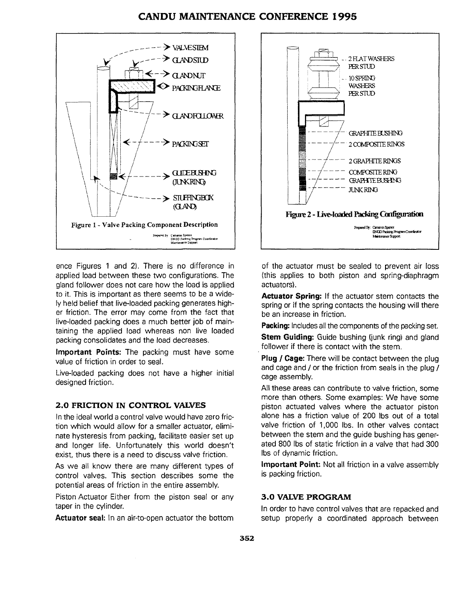

ence Figures 1 and 2). There is no difference in applied load between these two configurations. The gland follower does not care how the load is applied to it. This is important as there seems to be a widely held belief that live-loaded packing generates higher friction. The error may come from the fact that live-loaded packing does a much better job of maintaining the applied load whereas non live loaded packing consolidates and the load decreases.

**Important Points:** The packing must have some value of friction in order to seal.

Live-loaded packing does not have a higher initial designed friction.

#### **2.0 FRICTION IN CONTROL VALVES**

In the ideal world a control valve would have zero friction which would allow for a smaller actuator, eliminate hysteresis from packing, facilitate easier set up and longer life. Unfortunately this world doesn't exist, thus there is a need to discuss valve friction.

As we all know there are many different types of control valves. This section describes some the potential areas of friction in the entire assembly.

Piston Actuator Either from the piston seal or any taper in the cylinder.

**Actuator seal:** In an air-to-open actuator the bottom



of the actuator must be sealed to prevent air loss (this applies to both piston and spring-diaphragm actuators).

**Actuator Spring:** If the actuator stem contacts the spring or if the spring contacts the housing will there be an increase in friction.

**Packing:** Includes all the components of the packing set.

**Stem Guiding:** Guide bushing (junk ring) and gland follower if there is contact with the stem.

**Plug / Cage:** There will be contact between the plug and cage and / or the friction from seals in the plug / cage assembly.

Ail these areas can contribute to valve friction, some more than others. Some examples: We have some piston actuated valves where the actuator piston alone has a friction value of 200 lbs out of a total valve friction of 1,000 lbs. In other valves contact between the stem and the guide bushing has generated 800 lbs of static friction in a valve that had 300 lbs of dynamic friction.

**Important Point:** Not all friction in a valve assembly is packing friction.

#### **3.0 VALVE PROGRAM**

In order to have control valves that are repacked and setup properly a coordinated approach between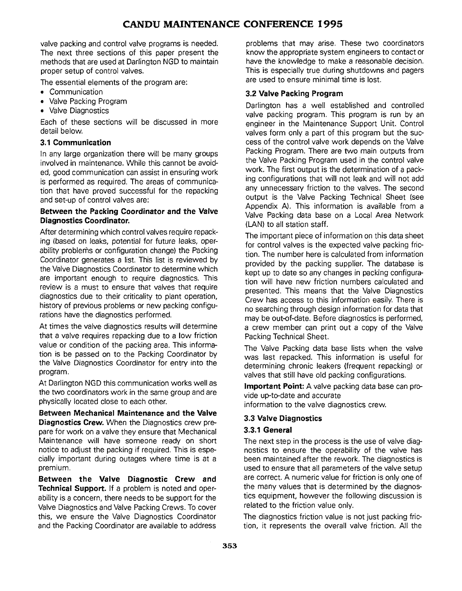valve packing and control valve programs is needed. The next three sections of this paper present the methods that are used at Darlington NGD to maintain proper setup of control valves.

The essential elements of the program are:

- Communication
- Valve Packing Program
- Valve Diagnostics

Each of these sections will be discussed in more detail below.

### **3.1 Communication**

In any large organization there will be many groups involved in maintenance. While this cannot be avoided, good communication can assist in ensuring work is performed as required. The areas of communication that have proved successful for the repacking and set-up of control valves are:

#### **Between the Packing Coordinator and the Valve Diagnostics Coordinator.**

After determining which control valves require repacking (based on leaks, potential for future leaks, operability problems or configuration change) the Packing Coordinator generates a list. This list is reviewed by the Valve Diagnostics Coordinator to determine which are important enough to require diagnostics. This review is a must to ensure that valves that require diagnostics due to their criticality to plant operation, history of previous problems or new packing configurations have the diagnostics performed.

At times the valve diagnostics results will determine that a valve requires repacking due to a low friction value or condition of the packing area. This information is be passed on to the Packing Coordinator by the Valve Diagnostics Coordinator for entry into the program.

At Darlington NGD this communication works well as the two coordinators work in the same group and are physically located close to each other.

**Between Mechanical Maintenance and the Valve Diagnostics Crew.** When the Diagnostics crew prepare for work on a valve they ensure that Mechanical Maintenance will have someone ready on short notice to adjust the packing if required. This is especially important during outages where time is at a premium.

**Between the Valve Diagnostic Crew and Technical Support.** If a problem is noted and operability is a concern, there needs to be support for the Valve Diagnostics and Valve Packing Crews. To cover this, we ensure the Valve Diagnostics Coordinator and the Packing Coordinator are available to address

problems that may arise. These two coordinators know the appropriate system engineers to contact or have the knowledge to make a reasonable decision. This is especially true during shutdowns and pagers are used to ensure minimal time is lost.

### **3.2 Valve Packing Program**

Darlington has a well established and controlled valve packing program. This program is run by an engineer in the Maintenance Support Unit. Control valves form only a part of this program but the success of the control valve work depends on the Valve Packing Program. There are two main outputs from the Valve Packing Program used in the control valve work. The first output is the determination of a packing configurations that will not leak and will not add any unnecessary friction to the valves. The second output is the Valve Packing Technical Sheet (see Appendix A). This information is available from a Valve Packing data base on a Local Area Network (LAN) to all station staff.

The important piece of information on this data sheet for control valves is the expected valve packing friction. The number here is calculated from information provided by the packing supplier. The database is kept up to date so any changes in packing configuration will have new friction numbers calculated and presented. This means that the Valve Diagnostics Crew has access to this information easily. There is no searching through design information for data that may be out-of-date. Before diagnostics is performed, a crew member can print out a copy of the Valve Packing Technical Sheet.

The Valve Packing data base lists when the valve was last repacked. This information is useful for determining chronic leakers (frequent repacking) or valves that still have old packing configurations.

**Important Point:** A valve packing data base can provide up-to-date and accurate

information to the valve diagnostics crew.

## **3.3 Valve Diagnostics**

### **3.3.1 General**

The next step in the process is the use of valve diagnostics to ensure the operability of the valve has been maintained after the rework. The diagnostics is used to ensure that all parameters of the valve setup are correct. A numeric value for friction is only one of the many values that is determined by the diagnostics equipment, however the following discussion is related to the friction value only.

The diagnostics friction value is not just packing friction, it represents the overall valve friction. All the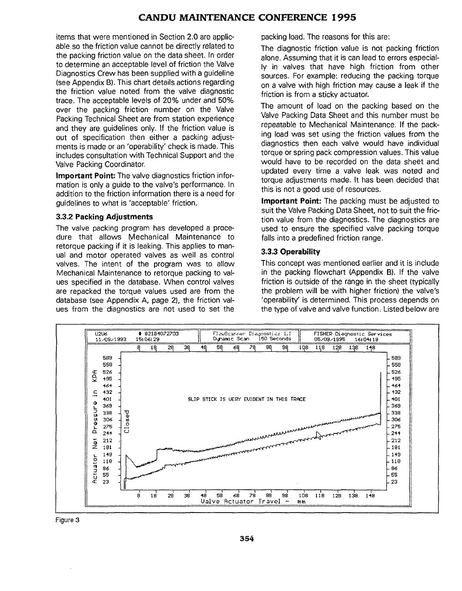items that were mentioned in Section 2.0 are applicable so the friction value cannot be directly related to the packing friction value on the data sheet. In order to determine an acceptable level of friction the Valve Diagnostics Crew has been supplied with a guideline (see Appendix B). This chart details actions regarding the friction value noted from the valve diagnostic trace. The acceptable levels of 20% under and 50% over the packing friction number on the Valve Packing Technical Sheet are from station experience and they are guidelines only. If the friction value is out of specification then either a packing adjustments is made or an 'operability' check is made. This includes consultation with Technical Support and the Valve Packing Coordinator.

**Important Point:** The valve diagnostics friction information is only a guide to the valve's performance. In addition to the friction information there is a need for guidelines to what is 'acceptable' friction.

#### **3.3.2 Packing Adjustments**

The valve packing program has developed a procedure that allows Mechanical Maintenance to retorque packing if it is leaking. This applies to manual and motor operated valves as well as control valves. The intent of the program was to allow Mechanical Maintenance to retorque packing to values specified in the database. When control valves are repacked the torque values used are from the database (see Appendix A, page 2), the friction values from the diagnostics are not used to set the packing load. The reasons for this are:

The diagnostic friction value is not packing friction alone. Assuming that it is can lead to errors especially in valves that have high friction from other sources. For example: reducing the packing torque on a valve with high friction may cause a leak if the friction is from a sticky actuator.

The amount of load on the packing based on the Valve Packing Data Sheet and this number must be repeatable to Mechanical Maintenance. If the packing load was set using the friction values from the diagnostics then each valve would have individual torque or spring pack compression values. This value would have to be recorded on the data sheet and updated every time a valve leak was noted and torque adjustments made. It has been decided that this is not a good use of resources.

**Important Point:** The packing must be adjusted to suit the Valve Packing Data Sheet, not to suit the friction value from the diagnostics. The diagnostics are used to ensure the specified valve packing torque falls into a predefined friction range.

#### **3.3.3 Operability**

This concept was mentioned earlier and it is include in the packing flowchart (Appendix B). If the valve friction is outside of the range in the sheet (typically the problem will be with higher friction) the valve's 'operability' is determined. This process depends on the type of valve and valve function. Listed below are



Figure 3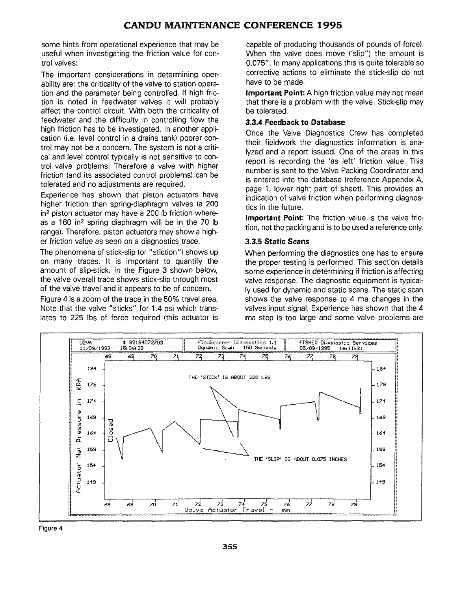some hints from operational experience that may be useful when investigating the friction value for control valves:

The important considerations in determining operability are: the criticality of the valve to station operation and the parameter being controlled. If high friction is noted in feedwater valves it will probably affect the control circuit. With both the criticality of feedwater and the difficulty in controlling flow the high friction has to be investigated. In another application (i.e. level control in a drains tank) poorer control may not be a concern. The system is not a critical and level control typically is not sensitive to control valve problems. Therefore a valve with higher friction (and its associated control problems) can be tolerated and no adjustments are required.

Experience has shown that piston actuators have higher friction than spring-diaphragm valves (a 200 in2 piston actuator may have a 200 Ib friction whereas a 160 in<sup>2</sup> spring diaphragm will be in the 70 lb range). Therefore, piston actuators may show a higher friction value as seen on a diagnostics trace.

The phenomena of stick-slip (or "stiction") shows up on many traces. It is important to quantify the amount of slip-stick. In the Figure 3 shown below, the valve overall trace shows stick-slip through most of the valve travel and it appears to be of concern.

Figure 4 is a zoom of the trace in the 50% travel area. Note that the valve "sticks" for 1.4 psi which translates to 225 lbs of force required (this actuator is capable of producing thousands of pounds of force). When the valve does move ('slip") the amount is 0.075". In many applications this is quite tolerable so corrective actions to eliminate the stick-slip do not have to be made.

**Important Point:** A high friction value may not mean that there is a problem with the valve. Stick-slip may be tolerated.

#### **3.3.4 Feedback to Database**

Once the Valve Diagnostics Crew has completed their fieldwork the diagnostics information is analyzed and a report issued. One of the areas in this report is recording the 'as left' friction value. This number is sent to the Valve Packing Coordinator and is entered into the database (reference Appendix A, page 1, lower right part of sheet). This provides an indication of valve friction when performing diagnostics in the future.

**Important Point:** The friction value is the valve friction, not the packing and is to be used a reference only.

## **3.3.5 Static Scans**

When performing the diagnostics one has to ensure the proper testing is performed. This section details some experience in determining if friction is affecting valve response. The diagnostic equipment is typically used for dynamic and static scans. The static scan shows the valve response to 4 ma changes in the valves input signal. Experience has shown that the 4 ma step is too large and some valve problems are



Figure 4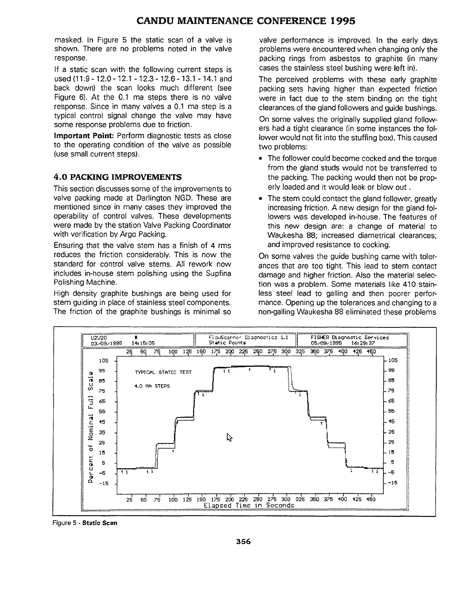masked. In Figure 5 the static scan of a valve is shown. There are no problems noted in the valve response.

If a static scan with the following current steps is used (11.9-12.0-12.1 -12.3-12.6-13.1 -14.1 and back down) the scan looks much different (see Figure 6). At the 0.1 ma steps there is no valve response. Since in many valves a 0.1 ma step is a typical control signal change the valve may have some response problems due to friction.

**Important Point:** Perform diagnostic tests as close to the operating condition of the valve as possible (use small current steps).

### **4.0 PACKING IMPROVEMENTS**

This section discusses some of the improvements to valve packing made at Darlington NGD. These are mentioned since in many cases they improved the operability of control valves. These developments were made by the station Valve Packing Coordinator with verification by Argo Packing.

Ensuring that the valve stem has a finish of 4 rms reduces the friction considerably. This is now the standard for control valve stems. All rework now includes in-house stem polishing using the Supfina Polishing Machine.

High density graphite bushings are being used for stem guiding in place of stainless steel components. The friction of the graphite bushings is minimal so valve performance is improved. In the early days problems were encountered when changing only the packing rings from asbestos to graphite (in many cases the stainless steel bushing were left in).

The perceived problems with these early graphite packing sets having higher than expected friction were in fact due to the stem binding on the tight clearances of the gland followers and guide bushings.

On some valves the originally supplied gland followers had a tight clearance (in some instances the follower would not fit into the stuffing box). This caused two problems:

- The follower could become cocked and the torque from the gland studs would not be transferred to the packing. The packing would then not be properly loaded and it would leak or blow out.
- The stem could contact the gland follower, greatly increasing friction. A new design for the gland followers was developed in-house. The features of this new design are: a change of material to Waukesha 88; increased diametrical clearances; and improved resistance to cocking.

On some valves the guide bushing came with tolerances that are too tight. This lead to stem contact damage and higher friction. Also the material selection was a problem. Some materials like 410 stainless steel lead to galling and then poorer performance. Opening up the tolerances and changing to a non-galling Waukesha 88 eliminated these problems



Figure 5 - **Static Scan**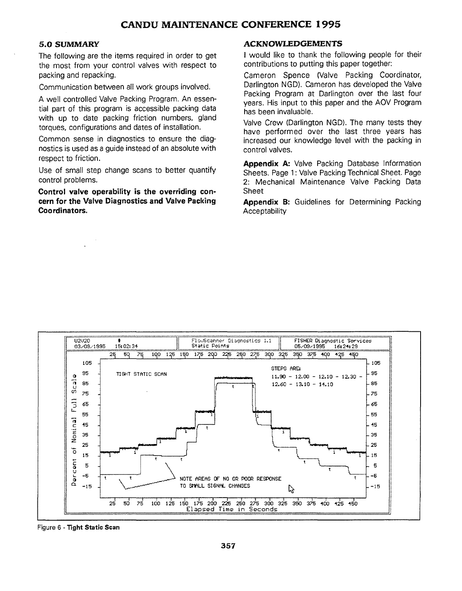#### **5.0 SUMMARY**

The following are the items required in order to get the most from your control valves with respect to packing and repacking.

Communication between all work groups involved.

A well controlled Valve Packing Program. An essential part of this program is accessible packing data with up to date packing friction numbers, gland torques, configurations and dates of installation.

Common sense in diagnostics to ensure the diagnostics is used as a guide instead of an absolute with respect to friction.

Use of small step change scans to better quantify control problems.

**Control valve operability is the overriding concern for the Valve Diagnostics and Valve Packing Coordinators.**

#### **ACKNOWLEDGEMENTS**

**I** would like to thank the following people for their contributions to putting this paper together:

Cameron Spence (Valve Packing Coordinator, Darlington NGD). Cameron has developed the Valve Packing Program at Darlington over the last four years. His input to this paper and the AOV Program has been invaluable.

Valve Crew (Darlington NGD). The many tests they have performed over the last three years has increased our knowledge level with the packing in control valves.

**Appendix A:** Valve Packing Database Information Sheets. Page 1: Valve Packing Technical Sheet. Page 2: Mechanical Maintenance Valve Packing Data Sheet

**Appendix B:** Guidelines for Determining Packing **Acceptability** 



Figure 6 - Tight Static Scan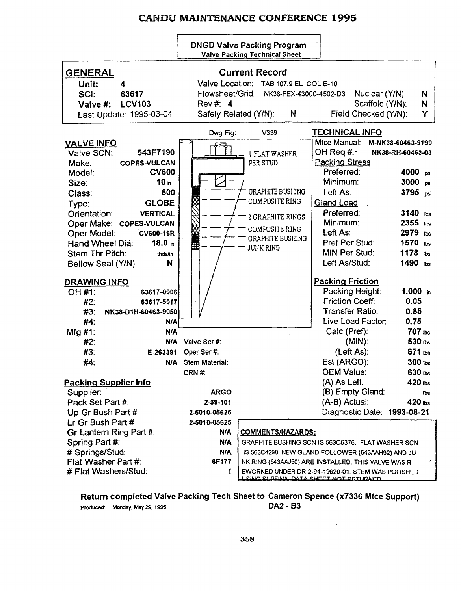**DNGD** Valve Packing Program Valve Packing Technical **Sheet**

|                                       |                                                                | <b>EXITY LAVING TUBERING PROPER</b>                |                                                 |                    |
|---------------------------------------|----------------------------------------------------------------|----------------------------------------------------|-------------------------------------------------|--------------------|
| <b>GENERAL</b><br>Unit:<br>4          | <b>Current Record</b><br>Valve Location: TAB 107.9 EL COL B-10 |                                                    |                                                 |                    |
| SCI:<br>63617                         | Flowsheet/Grid:                                                | NK38-FEX-43000-4502-D3                             | Nuclear (Y/N):                                  | N                  |
| <b>LCV103</b><br>Valve #:             | Rev #: 4                                                       |                                                    | Scaffold (Y/N):                                 | N                  |
| Last Update: 1995-03-04               | Safety Related (Y/N):                                          | N                                                  | Field Checked (Y/N):                            | Y                  |
|                                       | Dwg Fig:                                                       | V339                                               | <b>TECHNICAL INFO</b>                           |                    |
| <b>VALVE INFO</b>                     |                                                                |                                                    | Mtce Manual:                                    | M-NK38-60463-9190  |
| 543F7190<br>Valve SCN:                |                                                                | <b>I FLAT WASHER</b>                               | OH Req #:•                                      | NK38-RH-60463-03   |
| <b>COPES-VULCAN</b><br>Make:          |                                                                | PER STUD                                           | <b>Packing Stress</b>                           |                    |
| <b>CV600</b><br>Model:                |                                                                |                                                    | Preferred:                                      | 4000 psi           |
| 10 <sub>in</sub><br>Size:             |                                                                |                                                    | Minimum:                                        | 3000 psi           |
| 600<br>Class:                         |                                                                | <b>GRAPHITE BUSHING</b>                            | Left As:                                        | 3795 psi           |
| <b>GLOBE</b><br>Type:                 |                                                                | COMPOSITE RING                                     | <b>Gland Load</b>                               |                    |
| <b>VERTICAL</b><br>Orientation:       |                                                                | 2 GRAPHITE RINGS                                   | Preferred:                                      | 3140 lbs           |
| Oper Make: COPES-VULCAN               |                                                                |                                                    | Minimum:                                        | $2355$ lbs         |
| Oper Model:<br><b>CV600-16R</b>       |                                                                | COMPOSITE RING                                     | Left As:                                        | 2979 ibs           |
| 18.0 <sub>in</sub><br>Hand Wheel Dia: |                                                                | <b>GRAPHITE BUSHING</b>                            | Pref Per Stud:                                  | 1570<br>lbs        |
| Stem Thr Pitch:<br>thds/in            |                                                                | <b>JUNK RING</b>                                   | MIN Per Stud:                                   | 1178<br><b>lbs</b> |
| N<br>Bellow Seal (Y/N):               |                                                                |                                                    | Left As/Stud:                                   | 1490 lbs           |
|                                       |                                                                |                                                    |                                                 |                    |
| <b>DRAWING INFO</b>                   |                                                                |                                                    | <b>Packing Friction</b>                         |                    |
| OH #1:<br>63617-0006                  |                                                                |                                                    | Packing Height:                                 | $1.000$ in         |
| #2:<br>63617-5017                     |                                                                |                                                    | <b>Friction Coeff:</b>                          | 0.05               |
| #3:<br>NK38-D1H-60463-9050            |                                                                |                                                    | <b>Transfer Ratio:</b>                          | 0.85               |
| $#4$ :<br>N/A                         |                                                                |                                                    | Live Load Factor:                               | 0.75               |
| Mfg #1:<br>N/A                        |                                                                |                                                    | Calc (Pref):                                    | 707 lbs            |
| #2:<br>N/A                            | Valve Ser#:                                                    |                                                    | $(MIN)$ :                                       | 530 lbs            |
| #3:<br>E-263391                       | Oper Ser#:                                                     |                                                    | (Left As):                                      | 671 lbs            |
| #4:<br><b>N/A</b>                     | <b>Stem Material:</b>                                          |                                                    | Est (ARGO):                                     | 300 lbs            |
|                                       | CRN #:                                                         |                                                    | <b>OEM Value:</b>                               | 630 lbs            |
| <b>Packing Supplier Info</b>          |                                                                |                                                    | (A) As Left:                                    | 420 lbs            |
| Supplier:                             | <b>ARGO</b>                                                    |                                                    | (B) Empty Gland:                                | lbs.               |
| Pack Set Part #:                      | 2-59-101                                                       |                                                    | (A-B) Actual:                                   | $420$ lbs          |
| Up Gr Bush Part #                     | 2-5010-05625                                                   |                                                    | Diagnostic Date: 1993-08-21                     |                    |
| Lr Gr Bush Part #                     | 2-5010-05625                                                   |                                                    |                                                 |                    |
| Gr Lantern Ring Part #:               | N/A                                                            | <u>COMMENTS/HAZARDS:</u>                           |                                                 |                    |
| Spring Part #:                        | <b>N/A</b>                                                     | GRAPHITE BUSHING SCN IS 563C6376. FLAT WASHER SCN  |                                                 |                    |
| # Springs/Stud:                       | <b>N/A</b>                                                     | IS 563C4290. NEW GLAND FOLLOWER (543AAH92) AND JU  |                                                 |                    |
| Flat Washer Part #:                   | 6F177                                                          | NK RING (543AAJ50) ARE INSTALLED. THIS VALVE WAS R |                                                 |                    |
| # Flat Washers/Stud:                  | 1                                                              | EWORKED UNDER DR 2-94-19620-01. STEM WAS POLISHED  |                                                 |                    |
|                                       |                                                                |                                                    | <u>LISING SLIPEINA, DATA SHEET NOT RETHRNED</u> |                    |

**Return completed Valve Packing Tech Sheet to Cameron Spence (x7336 Mtce Support)** Produced: Monday, May 29,1995 **DA <sup>2</sup>** - B <sup>3</sup>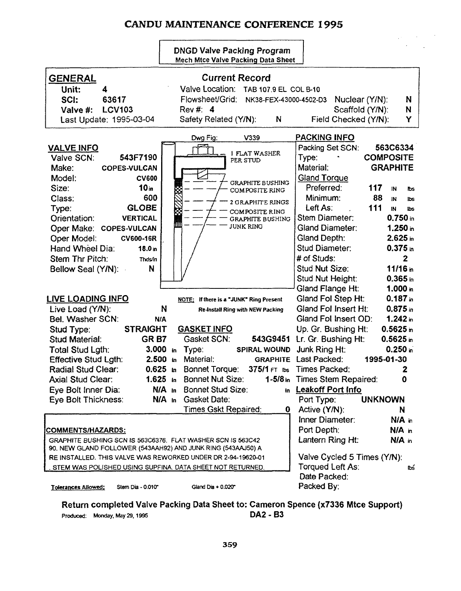$\mathcal{L}$ 

|                                                                                                                                                                                                                                                                                                                                         | <b>DNGD Valve Packing Program</b><br>Mech Mtce Valve Packing Data Sheet                                                                                                                                     |                                                                                                                                                                                                                                                                                                    |
|-----------------------------------------------------------------------------------------------------------------------------------------------------------------------------------------------------------------------------------------------------------------------------------------------------------------------------------------|-------------------------------------------------------------------------------------------------------------------------------------------------------------------------------------------------------------|----------------------------------------------------------------------------------------------------------------------------------------------------------------------------------------------------------------------------------------------------------------------------------------------------|
| <b>GENERAL</b><br>Unit:<br>4<br>SCI:<br>63617<br><b>LCV103</b><br>Valve #:<br>Last Update: 1995-03-04                                                                                                                                                                                                                                   | <b>Current Record</b><br>Valve Location: TAB 107.9 EL COL B-10<br>Flowsheet/Grid: NK38-FEX-43000-4502-D3<br>Rev #: 4<br>Safety Related (Y/N):<br>N                                                          | Nuclear (Y/N):<br>N<br>N<br>Scaffold (Y/N):<br>Y<br>Field Checked (Y/N):                                                                                                                                                                                                                           |
| <b>VALVE INFO</b><br>543F7190<br>Valve SCN:<br>Make:<br><b>COPES-VULCAN</b><br>Model:<br><b>CV600</b><br>10 <sub>in</sub><br>Size:                                                                                                                                                                                                      | Dwg Fig:<br>V339<br>1 FLAT WASHER<br>PER STUD<br><b>GRAPHITE BUSHING</b><br>COMPOSITE RING                                                                                                                  | <b>PACKING INFO</b><br>Packing Set SCN:<br>563C6334<br><b>COMPOSITE</b><br>Type:<br>Material:<br><b>GRAPHITE</b><br><b>Gland Torque</b><br>Preferred:<br>117<br>IN.<br>lbs                                                                                                                         |
| 600<br>Class:<br><b>GLOBE</b><br>Type:<br><b>VERTICAL</b><br>Orientation:<br>Oper Make: COPES-VULCAN<br>Oper Model:<br>CV600-16R<br>Hand Wheel Dia:<br>18.0 <sub>in</sub><br>Stem Thr Pitch:<br>Thds/in<br>N<br>Bellow Seal (Y/N):                                                                                                      | 2 GRAPHITE RINGS<br><b>COMPOSITE RING</b><br>GRAPHITE BUSHING<br>JUNK RING                                                                                                                                  | 88<br>Minimum:<br>IN.<br>lbs<br>111<br>Left As:<br>IN<br><b>lbs</b><br>$0.750$ in<br>Stem Diameter:<br><b>Gland Diameter:</b><br>$1.250$ in<br>Gland Depth:<br>2.625m<br>Stud Diameter:<br>$0.375$ in<br># of Studs:<br>$\mathbf{2}$<br>Stud Nut Size:<br>11/16m<br>$0.365$ in<br>Stud Nut Height: |
| <b>LIVE LOADING INFO</b><br>Live Load (Y/N):<br>Bel. Washer SCN:<br><b>STRAIGHT</b><br>Stud Type:<br>GRB7<br><b>Stud Material:</b>                                                                                                                                                                                                      | NOTE: If there is a "JUNK" Ring Present<br>N<br>Re-Install Ring with NEW Packing<br>N/A<br><b>GASKET INFO</b><br>Gasket SCN:                                                                                | Gland Flange Ht:<br>1.000 in<br>Gland Fol Step Ht:<br>$0.187$ in<br>Gland Fol Insert Ht:<br>$0.875$ in<br>$1.242$ in<br>Gland Fol Insert OD:<br>Up. Gr. Bushing Ht:<br>$0.5625$ in<br>543G9451 Lr. Gr. Bushing Ht:<br>$0.5625$ in                                                                  |
| Total Stud Lgth:<br><b>Effective Stud Lgth:</b><br>Radial Stud Clear:<br><b>Axial Stud Clear:</b><br>Eye Bolt Inner Dia:<br>Eye Bolt Thickness:                                                                                                                                                                                         | $3.000$ in<br>Type:<br>SPIRAL WOUND<br>Material:<br>2.500 in<br>$0.625$ in<br><b>Bonnet Torque:</b><br>1.625 in Bonnet Nut Size:<br><b>Bonnet Stud Size:</b><br>$N/A$ in<br>$N/A$ in<br><b>Gasket Date:</b> | $0.250$ in<br>Junk Ring Ht:<br><b>GRAPHITE</b> Last Packed:<br>1995-01-30<br>375/1 FT ibs Times Packed:<br>2<br>1-5/8 in Times Stem Repaired:<br>$\mathbf 0$<br>in Leakoff Port Info<br>Port Type:<br><b>UNKNOWN</b>                                                                               |
| <u>COMMENTS/HAZARDS:</u><br>GRAPHITE BUSHING SCN IS 563C6376. FLAT WASHER SCN IS 563C42<br>90. NEW GLAND FOLLOWER (543AAH92) AND JUNK RING (543AAJ50) A<br>RE INSTALLED. THIS VALVE WAS REWORKED UNDER DR 2-94-19620-01<br>STEM WAS POLISHED USING SUPFINA. DATA SHEET NOT RETURNED.<br>Stem Dia - 0.010"<br><b>Tolerances Allowed:</b> | <b>Times Gskt Repaired:</b><br>0<br>Gland Dia $+0.020$                                                                                                                                                      | Active (Y/N):<br>N<br>Inner Diameter:<br>N/A in<br>Port Depth:<br>N/A in<br>Lantern Ring Ht:<br>N/A in<br>Valve Cycled 5 Times (Y/N):<br>Torqued Left As:<br>ľЬś<br>Date Packed:<br>Packed By:                                                                                                     |

Return completed Valve Packing Data Sheet to: Cameron Spence (x7336 Mtce Support)<br>Produced: Monday, May 29, 1995<br>DA2 - B3 Produced: Monday, May 29, 1995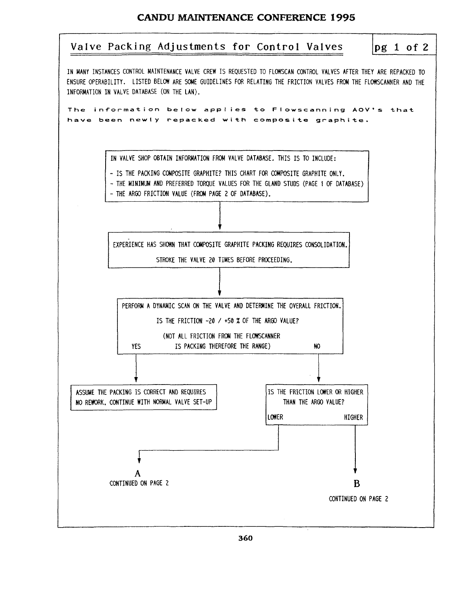